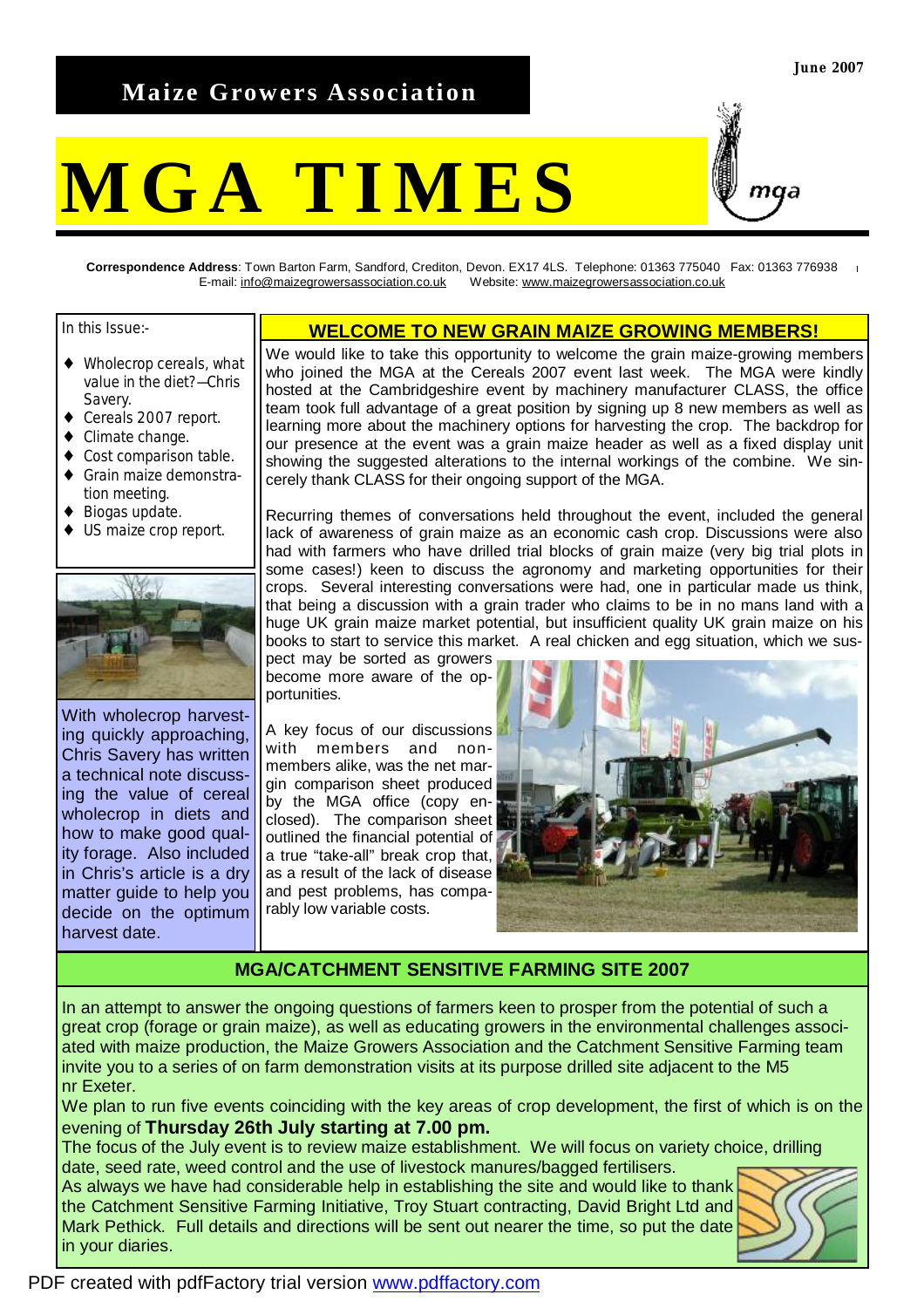## **Maize Growers Association**

# **MGA TIMES**



**Correspondence Address**: Town Barton Farm, Sandford, Crediton, Devon. EX17 4LS. Telephone: 01363 775040 Fax: 01363 776938 E-mail: [info@maizegrowersassociation.co.uk](mailto:info@maizegrowersassociation.co.uk) Website: [www.maizegrowersassociation.co.uk](http://www.maizegrowersassociation.co.uk)

In this Issue:-

- ♦ Wholecrop cereals, what value in the diet?—Chris Savery.
- ◆ Cereals 2007 report.
- ♦ Climate change.
- ♦ Cost comparison table. Grain maize demonstra-
- tion meeting.
- Biogas update.
- ♦ US maize crop report.



With wholecrop harvesting quickly approaching, Chris Savery has written a technical note discussing the value of cereal wholecrop in diets and how to make good quality forage. Also included in Chris's article is a dry matter guide to help you decide on the optimum harvest date.

#### **WELCOME TO NEW GRAIN MAIZE GROWING MEMBERS!**

We would like to take this opportunity to welcome the grain maize-growing members who joined the MGA at the Cereals 2007 event last week. The MGA were kindly hosted at the Cambridgeshire event by machinery manufacturer CLASS, the office team took full advantage of a great position by signing up 8 new members as well as learning more about the machinery options for harvesting the crop. The backdrop for our presence at the event was a grain maize header as well as a fixed display unit showing the suggested alterations to the internal workings of the combine. We sincerely thank CLASS for their ongoing support of the MGA.

Recurring themes of conversations held throughout the event, included the general lack of awareness of grain maize as an economic cash crop. Discussions were also had with farmers who have drilled trial blocks of grain maize (very big trial plots in some cases!) keen to discuss the agronomy and marketing opportunities for their crops. Several interesting conversations were had, one in particular made us think, that being a discussion with a grain trader who claims to be in no mans land with a huge UK grain maize market potential, but insufficient quality UK grain maize on his books to start to service this market. A real chicken and egg situation, which we sus-

pect may be sorted as growers become more aware of the opportunities.

A key focus of our discussions with members and nonmembers alike, was the net margin comparison sheet produced by the MGA office (copy enclosed). The comparison sheet outlined the financial potential of a true "take-all" break crop that, as a result of the lack of disease and pest problems, has comparably low variable costs.



#### **MGA/CATCHMENT SENSITIVE FARMING SITE 2007**

In an attempt to answer the ongoing questions of farmers keen to prosper from the potential of such a great crop (forage or grain maize), as well as educating growers in the environmental challenges associated with maize production, the Maize Growers Association and the Catchment Sensitive Farming team invite you to a series of on farm demonstration visits at its purpose drilled site adjacent to the M5 nr Exeter.

We plan to run five events coinciding with the key areas of crop development, the first of which is on the evening of **Thursday 26th July starting at 7.00 pm.** 

The focus of the July event is to review maize establishment. We will focus on variety choice, drilling date, seed rate, weed control and the use of livestock manures/bagged fertilisers.

As always we have had considerable help in establishing the site and would like to thank the Catchment Sensitive Farming Initiative, Troy Stuart contracting, David Bright Ltd and Mark Pethick. Full details and directions will be sent out nearer the time, so put the date in your diaries.

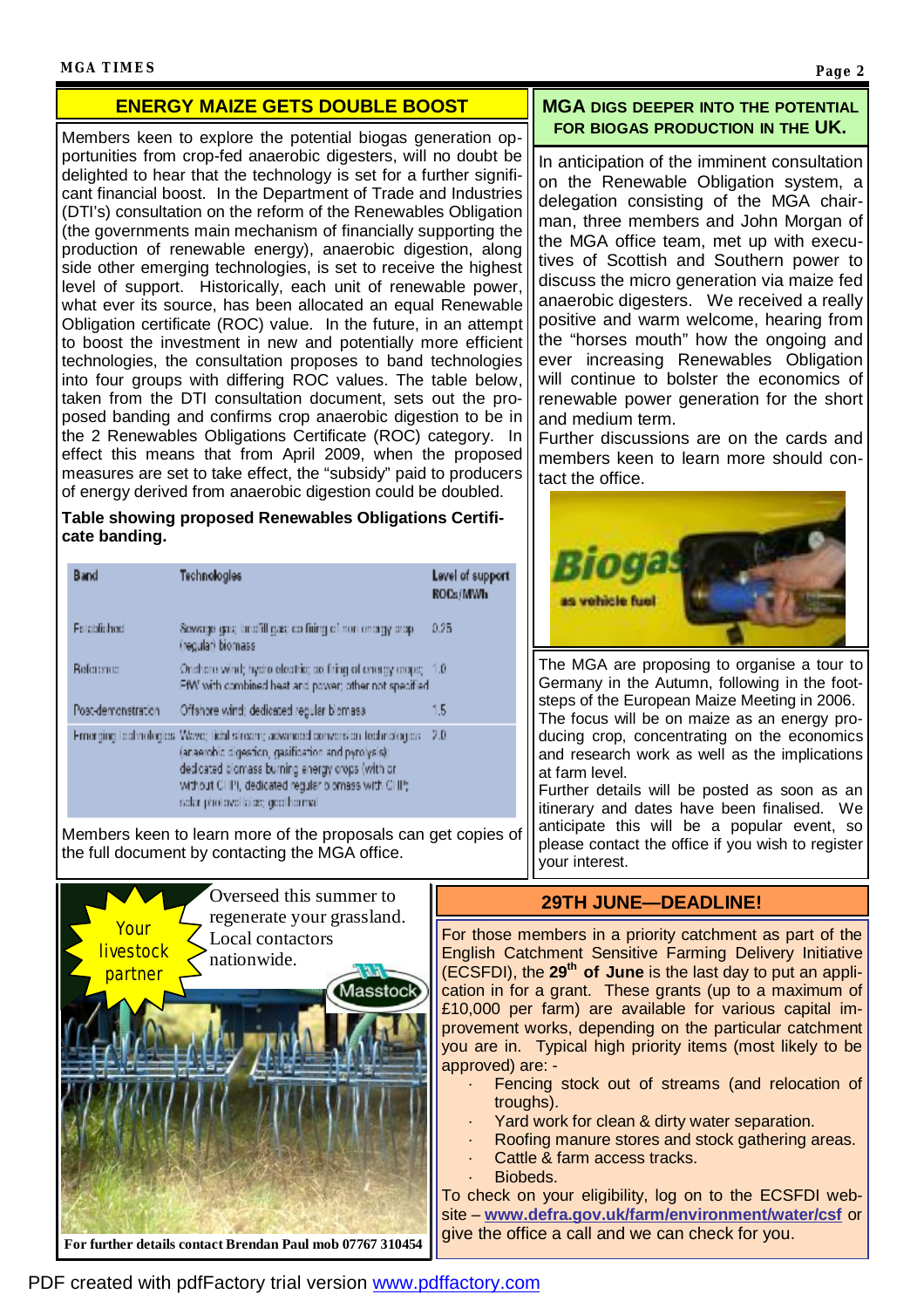#### **MGA TIMES Page 2**

### **ENERGY MAIZE GETS DOUBLE BOOST**

Members keen to explore the potential biogas generation opportunities from crop-fed anaerobic digesters, will no doubt be delighted to hear that the technology is set for a further significant financial boost. In the Department of Trade and Industries (DTI's) consultation on the reform of the Renewables Obligation (the governments main mechanism of financially supporting the production of renewable energy), anaerobic digestion, along side other emerging technologies, is set to receive the highest level of support. Historically, each unit of renewable power, what ever its source, has been allocated an equal Renewable Obligation certificate (ROC) value. In the future, in an attempt to boost the investment in new and potentially more efficient technologies, the consultation proposes to band technologies into four groups with differing ROC values. The table below, taken from the DTI consultation document, sets out the proposed banding and confirms crop anaerobic digestion to be in the 2 Renewables Obligations Certificate (ROC) category. In effect this means that from April 2009, when the proposed measures are set to take effect, the "subsidy" paid to producers of energy derived from anaerobic digestion could be doubled.

#### **Table showing proposed Renewables Obligations Certificate banding.**

| Band               | Technologies                                                                                                                                                                                                                                                                  | Level of suppor<br>ROCs/MWh |  |
|--------------------|-------------------------------------------------------------------------------------------------------------------------------------------------------------------------------------------------------------------------------------------------------------------------------|-----------------------------|--|
| <b>Falablichod</b> | Sewage gas, landfill gas; co firing of non-energy crop-<br>(regular) biomass                                                                                                                                                                                                  | 0.25                        |  |
| <b>Beference</b>   | Onchere wind; hydro electric; ao firing of energy araps; $-1.0$<br>FfW with combined heat and power; other not specified                                                                                                                                                      |                             |  |
| Post-demonstration | Offshore wind; dedicated regular biomass.                                                                                                                                                                                                                                     | 1.5                         |  |
|                    | Ernerging technologies Wave; tichlistream; advanced conversion technologies.<br>(anaerobic digestion, gasification and pyrolysis);<br>dedicated biomass burning energy crops (with or<br>without CHPI, dedicated regular biomass with CHP;<br>sclar photovollaids; geothermal | 2.0                         |  |

Members keen to learn more of the proposals can get copies of the full document by contacting the MGA office.



#### **MGA DIGS DEEPER INTO THE POTENTIAL FOR BIOGAS PRODUCTION IN THE UK.**

In anticipation of the imminent consultation on the Renewable Obligation system, a delegation consisting of the MGA chairman, three members and John Morgan of the MGA office team, met up with executives of Scottish and Southern power to discuss the micro generation via maize fed anaerobic digesters. We received a really positive and warm welcome, hearing from the "horses mouth" how the ongoing and ever increasing Renewables Obligation will continue to bolster the economics of renewable power generation for the short and medium term.

Further discussions are on the cards and members keen to learn more should contact the office.



The MGA are proposing to organise a tour to Germany in the Autumn, following in the footsteps of the European Maize Meeting in 2006. The focus will be on maize as an energy producing crop, concentrating on the economics and research work as well as the implications at farm level.

Further details will be posted as soon as an itinerary and dates have been finalised. We anticipate this will be a popular event, so please contact the office if you wish to register your interest.

## **29TH JUNE—DEADLINE!**

For those members in a priority catchment as part of the English Catchment Sensitive Farming Delivery Initiative (ECSFDI), the **29th of June** is the last day to put an application in for a grant. These grants (up to a maximum of £10,000 per farm) are available for various capital improvement works, depending on the particular catchment you are in. Typical high priority items (most likely to be approved) are: -

- Fencing stock out of streams (and relocation of troughs).
- Yard work for clean & dirty water separation.
- Roofing manure stores and stock gathering areas.
- Cattle & farm access tracks.
- Biobeds.

To check on your eligibility, log on to the ECSFDI website – **[www.defra.gov.uk/farm/environment/water/csf](http://www.defra.gov.uk/farm/environment/water/csf)** or give the office a call and we can check for you.